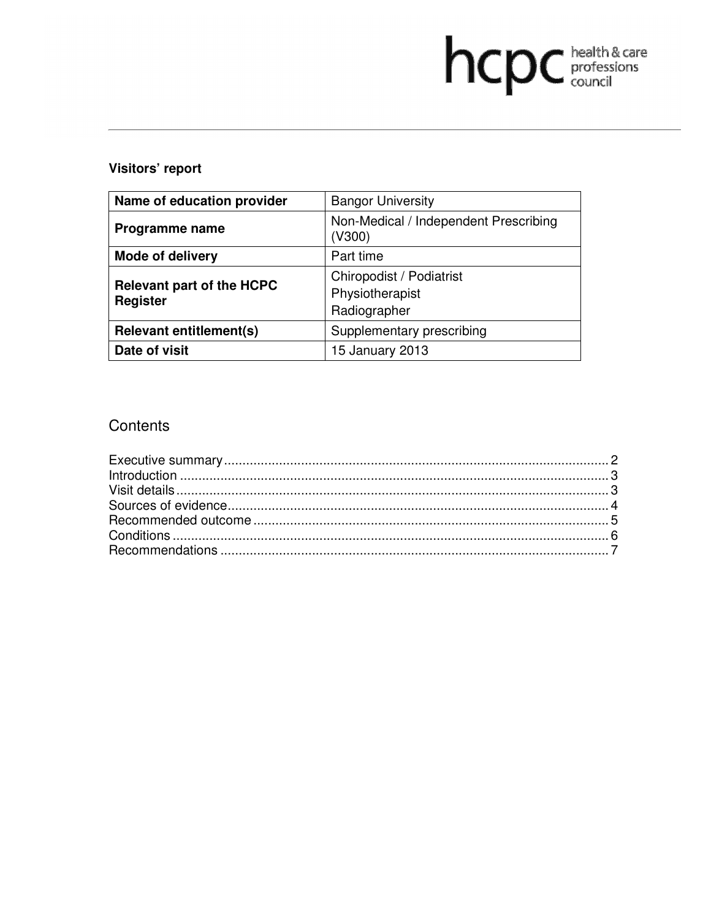# hcpc health & care

# **Visitors' report**

| Name of education provider                   | <b>Bangor University</b>                                    |
|----------------------------------------------|-------------------------------------------------------------|
| Programme name                               | Non-Medical / Independent Prescribing<br>(V300)             |
| <b>Mode of delivery</b>                      | Part time                                                   |
| <b>Relevant part of the HCPC</b><br>Register | Chiropodist / Podiatrist<br>Physiotherapist<br>Radiographer |
| <b>Relevant entitlement(s)</b>               | Supplementary prescribing                                   |
| Date of visit                                | 15 January 2013                                             |

# **Contents**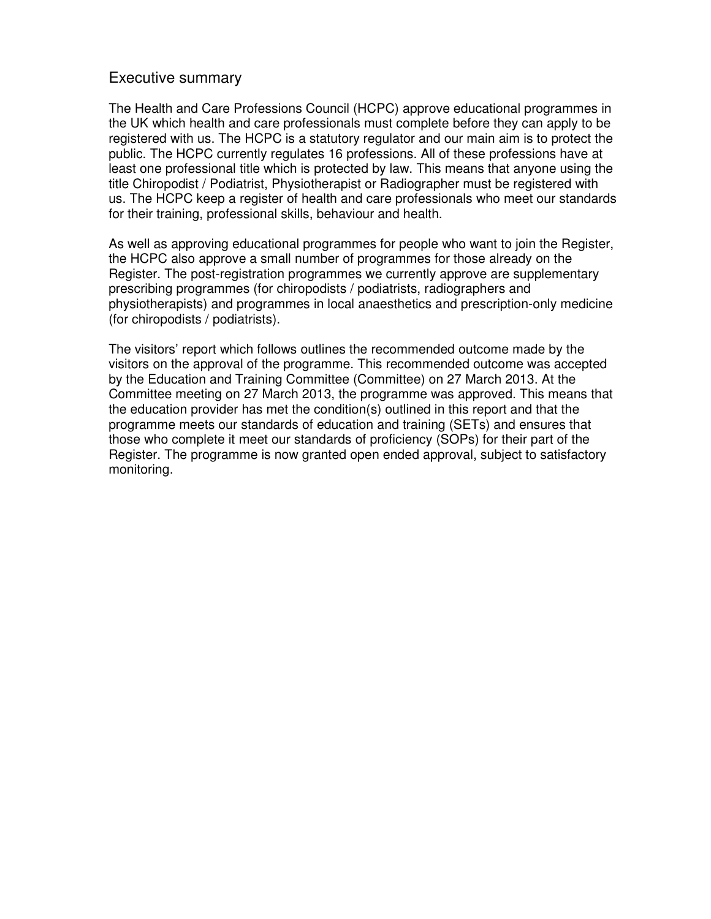## Executive summary

The Health and Care Professions Council (HCPC) approve educational programmes in the UK which health and care professionals must complete before they can apply to be registered with us. The HCPC is a statutory regulator and our main aim is to protect the public. The HCPC currently regulates 16 professions. All of these professions have at least one professional title which is protected by law. This means that anyone using the title Chiropodist / Podiatrist, Physiotherapist or Radiographer must be registered with us. The HCPC keep a register of health and care professionals who meet our standards for their training, professional skills, behaviour and health.

As well as approving educational programmes for people who want to join the Register, the HCPC also approve a small number of programmes for those already on the Register. The post-registration programmes we currently approve are supplementary prescribing programmes (for chiropodists / podiatrists, radiographers and physiotherapists) and programmes in local anaesthetics and prescription-only medicine (for chiropodists / podiatrists).

The visitors' report which follows outlines the recommended outcome made by the visitors on the approval of the programme. This recommended outcome was accepted by the Education and Training Committee (Committee) on 27 March 2013. At the Committee meeting on 27 March 2013, the programme was approved. This means that the education provider has met the condition(s) outlined in this report and that the programme meets our standards of education and training (SETs) and ensures that those who complete it meet our standards of proficiency (SOPs) for their part of the Register. The programme is now granted open ended approval, subject to satisfactory monitoring.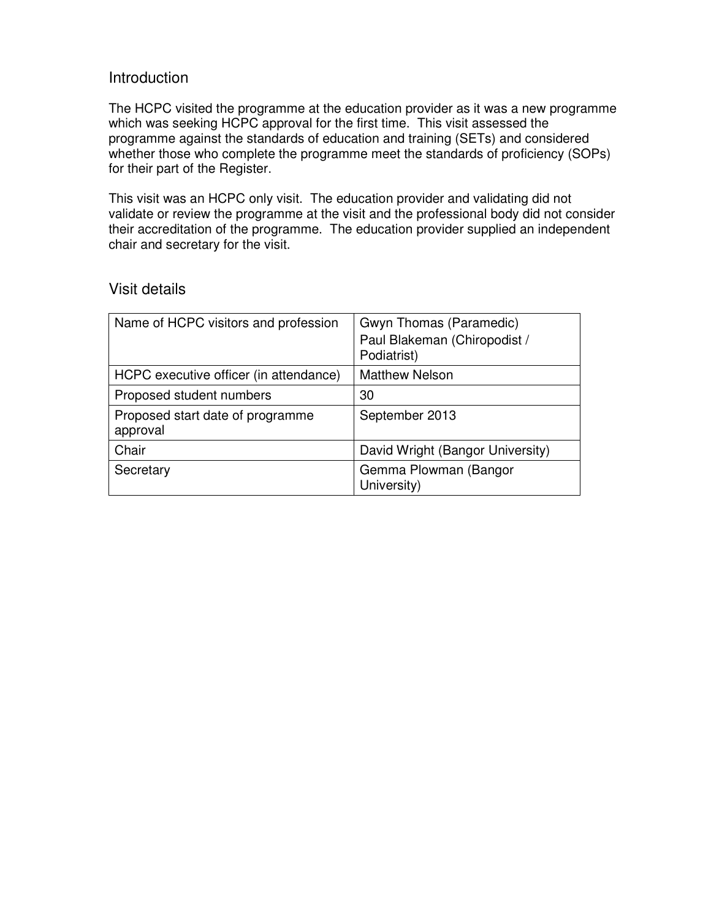# Introduction

The HCPC visited the programme at the education provider as it was a new programme which was seeking HCPC approval for the first time. This visit assessed the programme against the standards of education and training (SETs) and considered whether those who complete the programme meet the standards of proficiency (SOPs) for their part of the Register.

This visit was an HCPC only visit. The education provider and validating did not validate or review the programme at the visit and the professional body did not consider their accreditation of the programme. The education provider supplied an independent chair and secretary for the visit.

# Visit details

| Name of HCPC visitors and profession         | Gwyn Thomas (Paramedic)<br>Paul Blakeman (Chiropodist /<br>Podiatrist) |
|----------------------------------------------|------------------------------------------------------------------------|
| HCPC executive officer (in attendance)       | <b>Matthew Nelson</b>                                                  |
| Proposed student numbers                     | 30                                                                     |
| Proposed start date of programme<br>approval | September 2013                                                         |
| Chair                                        | David Wright (Bangor University)                                       |
| Secretary                                    | Gemma Plowman (Bangor<br>University)                                   |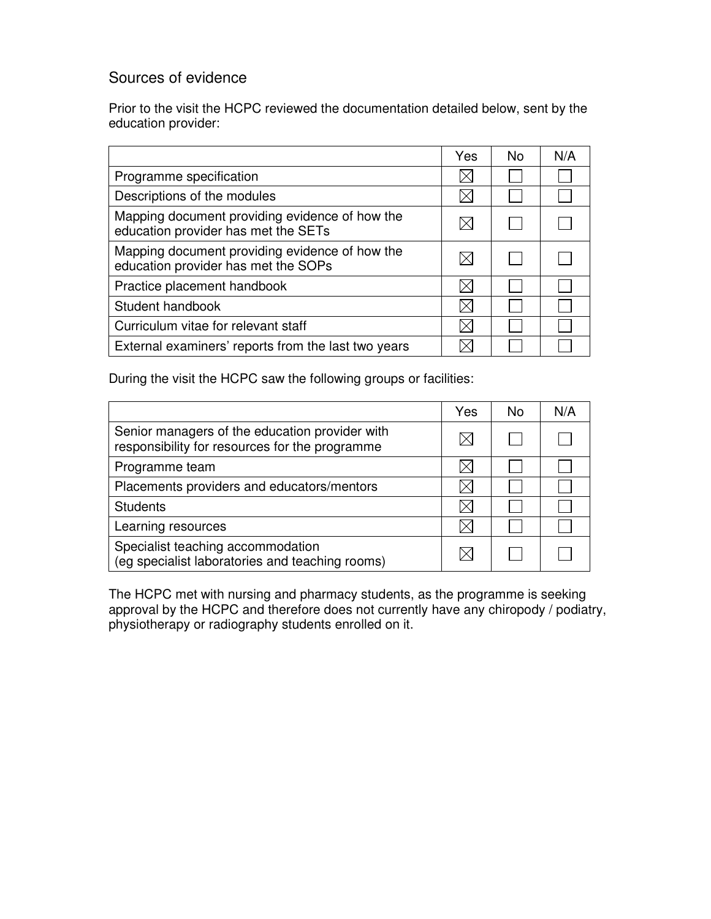# Sources of evidence

Prior to the visit the HCPC reviewed the documentation detailed below, sent by the education provider:

|                                                                                       | Yes | <b>No</b> | N/A |
|---------------------------------------------------------------------------------------|-----|-----------|-----|
| Programme specification                                                               |     |           |     |
| Descriptions of the modules                                                           |     |           |     |
| Mapping document providing evidence of how the<br>education provider has met the SETs |     |           |     |
| Mapping document providing evidence of how the<br>education provider has met the SOPs |     |           |     |
| Practice placement handbook                                                           |     |           |     |
| Student handbook                                                                      |     |           |     |
| Curriculum vitae for relevant staff                                                   |     |           |     |
| External examiners' reports from the last two years                                   |     |           |     |

During the visit the HCPC saw the following groups or facilities:

|                                                                                                  | Yes | No | N/A |
|--------------------------------------------------------------------------------------------------|-----|----|-----|
| Senior managers of the education provider with<br>responsibility for resources for the programme |     |    |     |
| Programme team                                                                                   |     |    |     |
| Placements providers and educators/mentors                                                       |     |    |     |
| <b>Students</b>                                                                                  |     |    |     |
| Learning resources                                                                               |     |    |     |
| Specialist teaching accommodation<br>(eg specialist laboratories and teaching rooms)             |     |    |     |

The HCPC met with nursing and pharmacy students, as the programme is seeking approval by the HCPC and therefore does not currently have any chiropody / podiatry, physiotherapy or radiography students enrolled on it.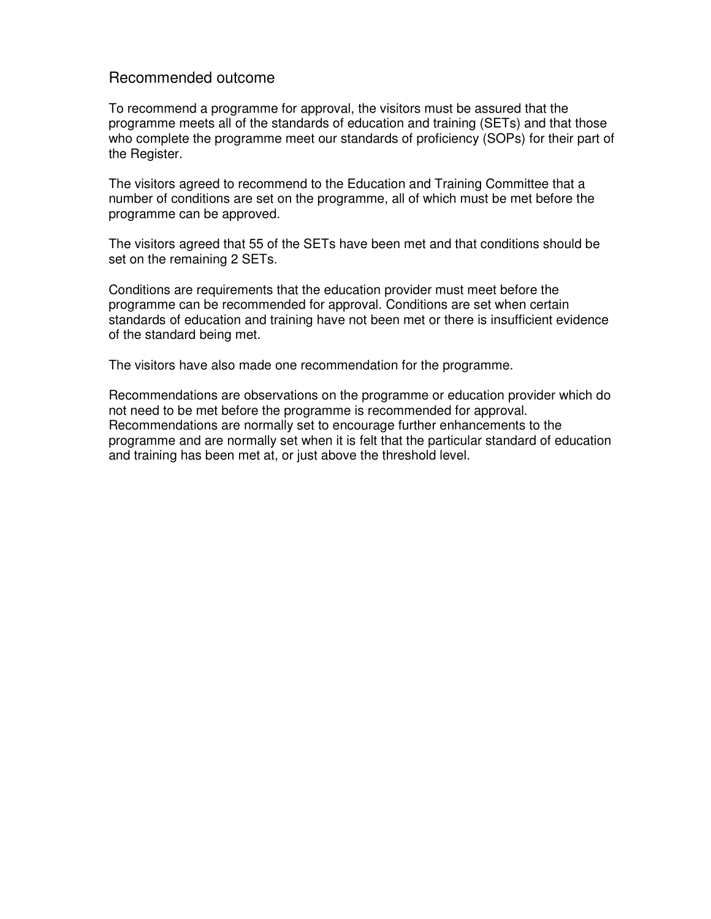## Recommended outcome

To recommend a programme for approval, the visitors must be assured that the programme meets all of the standards of education and training (SETs) and that those who complete the programme meet our standards of proficiency (SOPs) for their part of the Register.

The visitors agreed to recommend to the Education and Training Committee that a number of conditions are set on the programme, all of which must be met before the programme can be approved.

The visitors agreed that 55 of the SETs have been met and that conditions should be set on the remaining 2 SETs.

Conditions are requirements that the education provider must meet before the programme can be recommended for approval. Conditions are set when certain standards of education and training have not been met or there is insufficient evidence of the standard being met.

The visitors have also made one recommendation for the programme.

Recommendations are observations on the programme or education provider which do not need to be met before the programme is recommended for approval. Recommendations are normally set to encourage further enhancements to the programme and are normally set when it is felt that the particular standard of education and training has been met at, or just above the threshold level.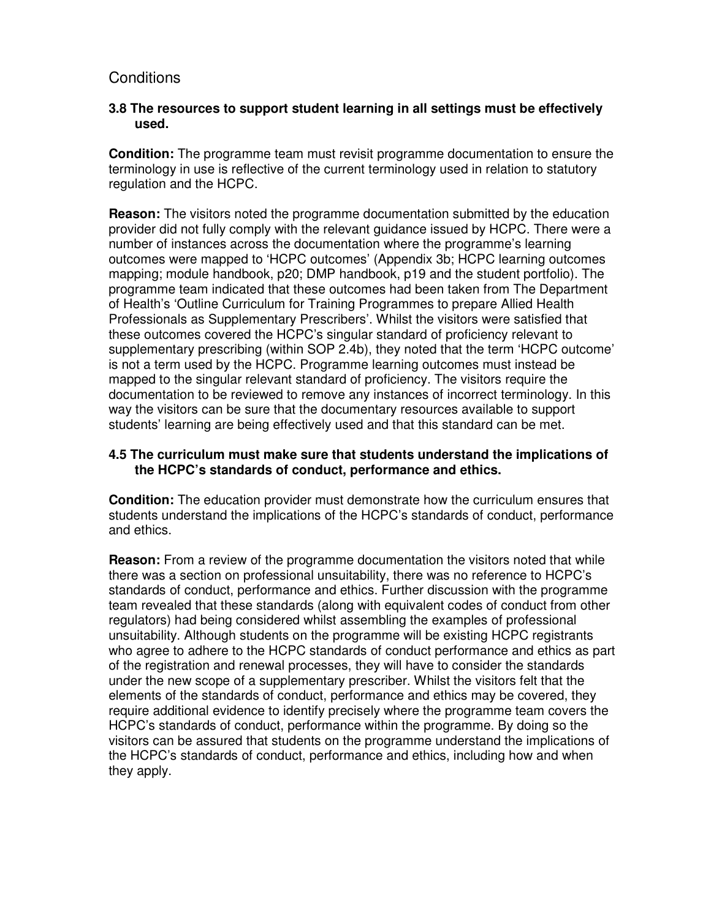## **Conditions**

#### **3.8 The resources to support student learning in all settings must be effectively used.**

**Condition:** The programme team must revisit programme documentation to ensure the terminology in use is reflective of the current terminology used in relation to statutory regulation and the HCPC.

**Reason:** The visitors noted the programme documentation submitted by the education provider did not fully comply with the relevant guidance issued by HCPC. There were a number of instances across the documentation where the programme's learning outcomes were mapped to 'HCPC outcomes' (Appendix 3b; HCPC learning outcomes mapping; module handbook, p20; DMP handbook, p19 and the student portfolio). The programme team indicated that these outcomes had been taken from The Department of Health's 'Outline Curriculum for Training Programmes to prepare Allied Health Professionals as Supplementary Prescribers'. Whilst the visitors were satisfied that these outcomes covered the HCPC's singular standard of proficiency relevant to supplementary prescribing (within SOP 2.4b), they noted that the term 'HCPC outcome' is not a term used by the HCPC. Programme learning outcomes must instead be mapped to the singular relevant standard of proficiency. The visitors require the documentation to be reviewed to remove any instances of incorrect terminology. In this way the visitors can be sure that the documentary resources available to support students' learning are being effectively used and that this standard can be met.

#### **4.5 The curriculum must make sure that students understand the implications of the HCPC's standards of conduct, performance and ethics.**

**Condition:** The education provider must demonstrate how the curriculum ensures that students understand the implications of the HCPC's standards of conduct, performance and ethics.

**Reason:** From a review of the programme documentation the visitors noted that while there was a section on professional unsuitability, there was no reference to HCPC's standards of conduct, performance and ethics. Further discussion with the programme team revealed that these standards (along with equivalent codes of conduct from other regulators) had being considered whilst assembling the examples of professional unsuitability. Although students on the programme will be existing HCPC registrants who agree to adhere to the HCPC standards of conduct performance and ethics as part of the registration and renewal processes, they will have to consider the standards under the new scope of a supplementary prescriber. Whilst the visitors felt that the elements of the standards of conduct, performance and ethics may be covered, they require additional evidence to identify precisely where the programme team covers the HCPC's standards of conduct, performance within the programme. By doing so the visitors can be assured that students on the programme understand the implications of the HCPC's standards of conduct, performance and ethics, including how and when they apply.